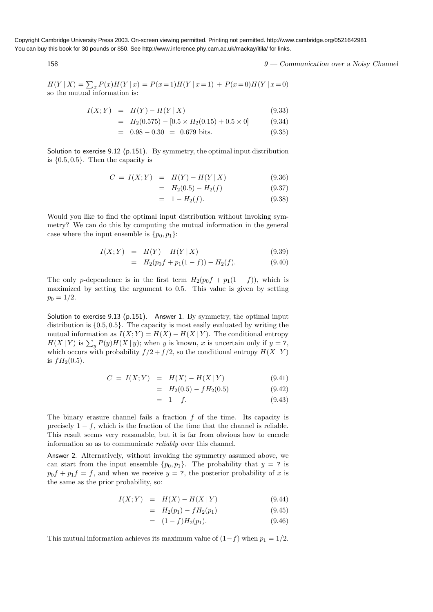Copyright Cambridge University Press 2003. On-screen viewing permitted. Printing not permitted. http://www.cambridge.org/0521642981 You can buy this book for 30 pounds or \$50. See http://www.inference.phy.cam.ac.uk/mackay/itila/ for links.

158 9 — Communication over a Noisy Channel

 $H(Y | X) = \sum_{x} P(x)H(Y | x) = P(x=1)H(Y | x=1) + P(x=0)H(Y | x=0)$ so the mutual information is:

$$
I(X;Y) = H(Y) - H(Y | X)
$$
\n(9.33)

$$
= H_2(0.575) - [0.5 \times H_2(0.15) + 0.5 \times 0]
$$
 (9.34)

$$
= 0.98 - 0.30 = 0.679
$$
 bits. (9.35)

Solution to exercise 9.12 (p.151). By symmetry, the optimal input distribution is  $\{0.5, 0.5\}$ . Then the capacity is

$$
C = I(X;Y) = H(Y) - H(Y | X)
$$
\n(9.36)

$$
= H_2(0.5) - H_2(f) \tag{9.37}
$$

 $= 1 - H<sub>2</sub>(f).$  (9.38)

Would you like to find the optimal input distribution without invoking symmetry? We can do this by computing the mutual information in the general case where the input ensemble is  $\{p_0, p_1\}$ :

$$
I(X;Y) = H(Y) - H(Y | X)
$$
\n(9.39)

$$
= H_2(p_0 f + p_1(1 - f)) - H_2(f). \tag{9.40}
$$

The only p-dependence is in the first term  $H_2(p_0f + p_1(1 - f))$ , which is maximized by setting the argument to 0.5. This value is given by setting  $p_0 = 1/2.$ 

Solution to exercise 9.13 (p.151). Answer 1. By symmetry, the optimal input distribution is  $\{0.5, 0.5\}$ . The capacity is most easily evaluated by writing the mutual information as  $I(X;Y) = H(X) - H(X | Y)$ . The conditional entropy  $H(X | Y)$  is  $\sum_{y} P(y)H(X | y)$ ; when y is known, x is uncertain only if  $y = ?$ , which occurs with probability  $f/2 + f/2$ , so the conditional entropy  $H(X | Y)$ is  $fH_2(0.5)$ .

$$
C = I(X;Y) = H(X) - H(X|Y)
$$
\n(9.41)

$$
= H_2(0.5) - fH_2(0.5) \tag{9.42}
$$

$$
= 1 - f. \t(9.43)
$$

The binary erasure channel fails a fraction  $f$  of the time. Its capacity is precisely  $1 - f$ , which is the fraction of the time that the channel is reliable. This result seems very reasonable, but it is far from obvious how to encode information so as to communicate reliably over this channel.

Answer 2. Alternatively, without invoking the symmetry assumed above, we can start from the input ensemble  $\{p_0, p_1\}$ . The probability that  $y = ?$  is  $p_0f + p_1f = f$ , and when we receive  $y = ?$ , the posterior probability of x is the same as the prior probability, so:

$$
I(X;Y) = H(X) - H(X|Y) \tag{9.44}
$$

$$
= H_2(p_1) - f H_2(p_1) \tag{9.45}
$$

$$
= (1 - f)H_2(p_1). \t\t(9.46)
$$

This mutual information achieves its maximum value of  $(1-f)$  when  $p_1 = 1/2$ .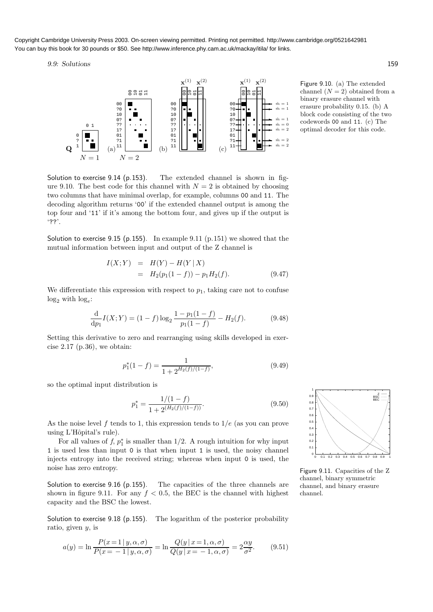Copyright Cambridge University Press 2003. On-screen viewing permitted. Printing not permitted. http://www.cambridge.org/0521642981 You can buy this book for 30 pounds or \$50. See http://www.inference.phy.cam.ac.uk/mackay/itila/ for links.

9.9: Solutions 159



Figure 9.10. (a) The extended channel  $(N = 2)$  obtained from a binary erasure channel with erasure probability 0.15. (b) A block code consisting of the two codewords 00 and 11. (c) The optimal decoder for this code.

Solution to exercise 9.14 (p.153). The extended channel is shown in figure 9.10. The best code for this channel with  $N = 2$  is obtained by choosing two columns that have minimal overlap, for example, columns 00 and 11. The decoding algorithm returns '00' if the extended channel output is among the top four and '11' if it's among the bottom four, and gives up if the output is '??'.

Solution to exercise 9.15 (p.155). In example 9.11 (p.151) we showed that the mutual information between input and output of the Z channel is

$$
I(X;Y) = H(Y) - H(Y | X)
$$
  
=  $H_2(p_1(1-f)) - p_1 H_2(f).$  (9.47)

We differentiate this expression with respect to  $p_1$ , taking care not to confuse  $log_2$  with  $log_e$ :

$$
\frac{\mathrm{d}}{\mathrm{d}p_1}I(X;Y) = (1-f)\log_2\frac{1-p_1(1-f)}{p_1(1-f)} - H_2(f). \tag{9.48}
$$

Setting this derivative to zero and rearranging using skills developed in exercise  $2.17$  (p.36), we obtain:

$$
p_1^*(1-f) = \frac{1}{1 + 2^{H_2(f)/(1-f)}},\tag{9.49}
$$

so the optimal input distribution is

$$
p_1^* = \frac{1/(1-f)}{1 + 2^{(H_2(f)/(1-f))}}.\tag{9.50}
$$

As the noise level f tends to 1, this expression tends to  $1/e$  (as you can prove using L'Hôpital's rule).

For all values of  $f, p_1^*$  is smaller than 1/2. A rough intuition for why input 1 is used less than input 0 is that when input 1 is used, the noisy channel injects entropy into the received string; whereas when input 0 is used, the noise has zero entropy.

Solution to exercise 9.16 (p.155). The capacities of the three channels are shown in figure 9.11. For any  $f < 0.5$ , the BEC is the channel with highest capacity and the BSC the lowest.

Solution to exercise 9.18 (p.155). The logarithm of the posterior probability ratio, given  $y$ , is

$$
a(y) = \ln \frac{P(x=1|y,\alpha,\sigma)}{P(x=-1|y,\alpha,\sigma)} = \ln \frac{Q(y|x=1,\alpha,\sigma)}{Q(y|x=-1,\alpha,\sigma)} = 2\frac{\alpha y}{\sigma^2}.
$$
 (9.51)



Figure 9.11. Capacities of the Z channel, binary symmetric channel, and binary erasure channel.